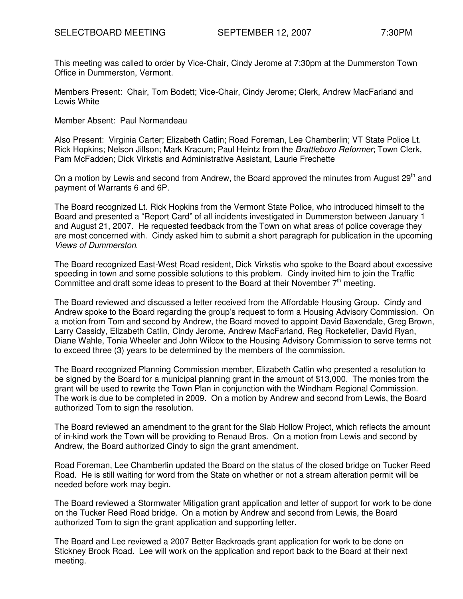This meeting was called to order by Vice-Chair, Cindy Jerome at 7:30pm at the Dummerston Town Office in Dummerston, Vermont.

Members Present: Chair, Tom Bodett; Vice-Chair, Cindy Jerome; Clerk, Andrew MacFarland and Lewis White

Member Absent: Paul Normandeau

Also Present: Virginia Carter; Elizabeth Catlin; Road Foreman, Lee Chamberlin; VT State Police Lt. Rick Hopkins; Nelson Jillson; Mark Kracum; Paul Heintz from the Brattleboro Reformer; Town Clerk, Pam McFadden; Dick Virkstis and Administrative Assistant, Laurie Frechette

On a motion by Lewis and second from Andrew, the Board approved the minutes from August 29<sup>th</sup> and payment of Warrants 6 and 6P.

The Board recognized Lt. Rick Hopkins from the Vermont State Police, who introduced himself to the Board and presented a "Report Card" of all incidents investigated in Dummerston between January 1 and August 21, 2007. He requested feedback from the Town on what areas of police coverage they are most concerned with. Cindy asked him to submit a short paragraph for publication in the upcoming Views of Dummerston.

The Board recognized East-West Road resident, Dick Virkstis who spoke to the Board about excessive speeding in town and some possible solutions to this problem. Cindy invited him to join the Traffic Committee and draft some ideas to present to the Board at their November  $7<sup>th</sup>$  meeting.

The Board reviewed and discussed a letter received from the Affordable Housing Group. Cindy and Andrew spoke to the Board regarding the group's request to form a Housing Advisory Commission. On a motion from Tom and second by Andrew, the Board moved to appoint David Baxendale, Greg Brown, Larry Cassidy, Elizabeth Catlin, Cindy Jerome, Andrew MacFarland, Reg Rockefeller, David Ryan, Diane Wahle, Tonia Wheeler and John Wilcox to the Housing Advisory Commission to serve terms not to exceed three (3) years to be determined by the members of the commission.

The Board recognized Planning Commission member, Elizabeth Catlin who presented a resolution to be signed by the Board for a municipal planning grant in the amount of \$13,000. The monies from the grant will be used to rewrite the Town Plan in conjunction with the Windham Regional Commission. The work is due to be completed in 2009. On a motion by Andrew and second from Lewis, the Board authorized Tom to sign the resolution.

The Board reviewed an amendment to the grant for the Slab Hollow Project, which reflects the amount of in-kind work the Town will be providing to Renaud Bros. On a motion from Lewis and second by Andrew, the Board authorized Cindy to sign the grant amendment.

Road Foreman, Lee Chamberlin updated the Board on the status of the closed bridge on Tucker Reed Road. He is still waiting for word from the State on whether or not a stream alteration permit will be needed before work may begin.

The Board reviewed a Stormwater Mitigation grant application and letter of support for work to be done on the Tucker Reed Road bridge. On a motion by Andrew and second from Lewis, the Board authorized Tom to sign the grant application and supporting letter.

The Board and Lee reviewed a 2007 Better Backroads grant application for work to be done on Stickney Brook Road. Lee will work on the application and report back to the Board at their next meeting.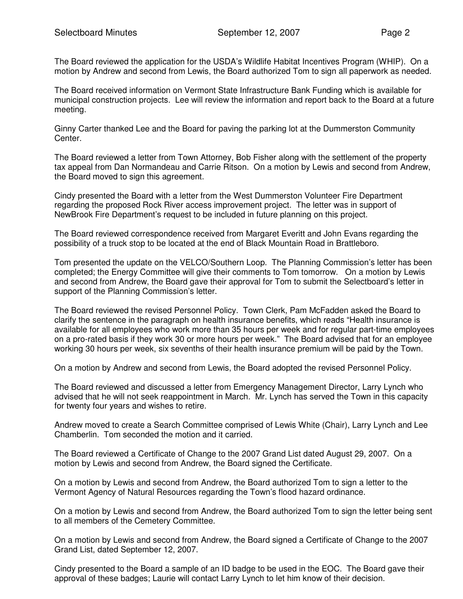The Board reviewed the application for the USDA's Wildlife Habitat Incentives Program (WHIP). On a motion by Andrew and second from Lewis, the Board authorized Tom to sign all paperwork as needed.

The Board received information on Vermont State Infrastructure Bank Funding which is available for municipal construction projects. Lee will review the information and report back to the Board at a future meeting.

Ginny Carter thanked Lee and the Board for paving the parking lot at the Dummerston Community Center.

The Board reviewed a letter from Town Attorney, Bob Fisher along with the settlement of the property tax appeal from Dan Normandeau and Carrie Ritson. On a motion by Lewis and second from Andrew, the Board moved to sign this agreement.

Cindy presented the Board with a letter from the West Dummerston Volunteer Fire Department regarding the proposed Rock River access improvement project. The letter was in support of NewBrook Fire Department's request to be included in future planning on this project.

The Board reviewed correspondence received from Margaret Everitt and John Evans regarding the possibility of a truck stop to be located at the end of Black Mountain Road in Brattleboro.

Tom presented the update on the VELCO/Southern Loop. The Planning Commission's letter has been completed; the Energy Committee will give their comments to Tom tomorrow. On a motion by Lewis and second from Andrew, the Board gave their approval for Tom to submit the Selectboard's letter in support of the Planning Commission's letter.

The Board reviewed the revised Personnel Policy. Town Clerk, Pam McFadden asked the Board to clarify the sentence in the paragraph on health insurance benefits, which reads "Health insurance is available for all employees who work more than 35 hours per week and for regular part-time employees on a pro-rated basis if they work 30 or more hours per week." The Board advised that for an employee working 30 hours per week, six sevenths of their health insurance premium will be paid by the Town.

On a motion by Andrew and second from Lewis, the Board adopted the revised Personnel Policy.

The Board reviewed and discussed a letter from Emergency Management Director, Larry Lynch who advised that he will not seek reappointment in March. Mr. Lynch has served the Town in this capacity for twenty four years and wishes to retire.

Andrew moved to create a Search Committee comprised of Lewis White (Chair), Larry Lynch and Lee Chamberlin. Tom seconded the motion and it carried.

The Board reviewed a Certificate of Change to the 2007 Grand List dated August 29, 2007. On a motion by Lewis and second from Andrew, the Board signed the Certificate.

On a motion by Lewis and second from Andrew, the Board authorized Tom to sign a letter to the Vermont Agency of Natural Resources regarding the Town's flood hazard ordinance.

On a motion by Lewis and second from Andrew, the Board authorized Tom to sign the letter being sent to all members of the Cemetery Committee.

On a motion by Lewis and second from Andrew, the Board signed a Certificate of Change to the 2007 Grand List, dated September 12, 2007.

Cindy presented to the Board a sample of an ID badge to be used in the EOC. The Board gave their approval of these badges; Laurie will contact Larry Lynch to let him know of their decision.